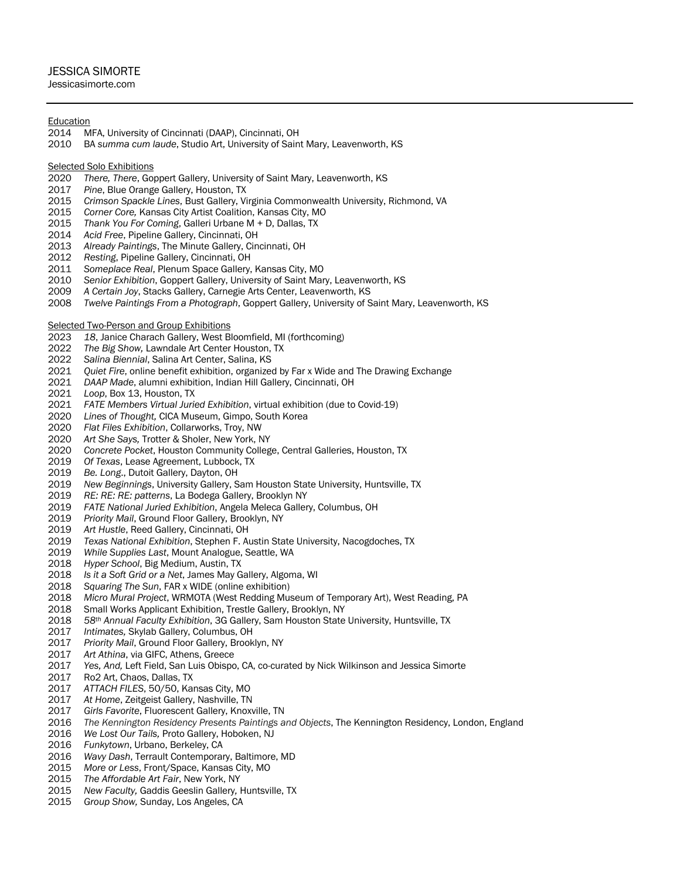# JESSICA SIMORTE

# Jessicasimorte.com

## **Education**

- 2014 MFA, University of Cincinnati (DAAP), Cincinnati, OH
- 2010 BA *summa cum laude*, Studio Art, University of Saint Mary, Leavenworth, KS

### Selected Solo Exhibitions

- *There, There*, Goppert Gallery, University of Saint Mary, Leavenworth, KS
- *Pine*, Blue Orange Gallery, Houston, TX
- *Crimson Spackle Lines*, Bust Gallery, Virginia Commonwealth University, Richmond, VA
- *Corner Core,* Kansas City Artist Coalition, Kansas City, MO
- *Thank You For Coming*, Galleri Urbane M + D, Dallas, TX
- *Acid Free*, Pipeline Gallery, Cincinnati, OH
- *Already Paintings*, The Minute Gallery, Cincinnati, OH
- *Resting*, Pipeline Gallery, Cincinnati, OH
- *Someplace Real*, Plenum Space Gallery, Kansas City, MO
- *Senior Exhibition*, Goppert Gallery, University of Saint Mary, Leavenworth, KS
- *A Certain Joy*, Stacks Gallery, Carnegie Arts Center, Leavenworth, KS
- *Twelve Paintings From a Photograph*, Goppert Gallery, University of Saint Mary, Leavenworth, KS

Selected Two-Person and Group Exhibitions

- *18*, Janice Charach Gallery, West Bloomfield, MI (forthcoming)
- *The Big Show,* Lawndale Art Center Houston, TX
- *Salina Biennial*, Salina Art Center, Salina, KS
- *Quiet Fire*, online benefit exhibition, organized by Far x Wide and The Drawing Exchange
- *DAAP Made*, alumni exhibition, Indian Hill Gallery, Cincinnati, OH
- *Loop*, Box 13, Houston, TX
- *FATE Members Virtual Juried Exhibition*, virtual exhibition (due to Covid-19)
- *Lines of Thought,* CICA Museum, Gimpo, South Korea
- *Flat Files Exhibition*, Collarworks, Troy, NW
- *Art She Says,* Trotter & Sholer, New York, NY
- *Concrete Pocket*, Houston Community College, Central Galleries, Houston, TX
- *Of Texas*, Lease Agreement, Lubbock, TX
- *Be. Long*., Dutoit Gallery, Dayton, OH
- *New Beginnings*, University Gallery, Sam Houston State University, Huntsville, TX
- *RE: RE: RE: patterns*, La Bodega Gallery, Brooklyn NY
- *FATE National Juried Exhibition*, Angela Meleca Gallery, Columbus, OH
- *Priority Mail*, Ground Floor Gallery, Brooklyn, NY
- *Art Hustle*, Reed Gallery, Cincinnati, OH
- *Texas National Exhibition*, Stephen F. Austin State University, Nacogdoches, TX
- *While Supplies Last*, Mount Analogue, Seattle, WA
- *Hyper School*, Big Medium, Austin, TX
- *Is it a Soft Grid or a Net*, James May Gallery, Algoma, WI
- *Squaring The Sun*, FAR x WIDE (online exhibition)
- *Micro Mural Project*, WRMOTA (West Redding Museum of Temporary Art), West Reading, PA
- 2018 Small Works Applicant Exhibition, Trestle Gallery, Brooklyn, NY<br>2018 58th Annual Faculty Exhibition, 3G Gallery, Sam Houston State
- *58th Annual Faculty Exhibition*, 3G Gallery, Sam Houston State University, Huntsville, TX
- *Intimates,* Skylab Gallery, Columbus, OH
- *Priority Mail*, Ground Floor Gallery, Brooklyn, NY
- *Art Athina*, via GIFC, Athens, Greece
- *Yes, And,* Left Field, San Luis Obispo, CA, co-curated by Nick Wilkinson and Jessica Simorte
- 2017 Ro2 Art, Chaos, Dallas, TX
- *ATTACH FILES*, 50/50, Kansas City, MO
- *At Home*, Zeitgeist Gallery, Nashville, TN
- Girls Favorite, Fluorescent Gallery, Knoxville, TN
- *The Kennington Residency Presents Paintings and Objects*, The Kennington Residency, London, England
- *We Lost Our Tails,* Proto Gallery, Hoboken, NJ
- *Funkytown*, Urbano, Berkeley, CA
- *Wavy Dash*, Terrault Contemporary, Baltimore, MD
- *More or Less*, Front/Space, Kansas City, MO
- *The Affordable Art Fair*, New York, NY
- *New Faculty,* Gaddis Geeslin Gallery*,* Huntsville, TX
- *Group Show,* Sunday, Los Angeles, CA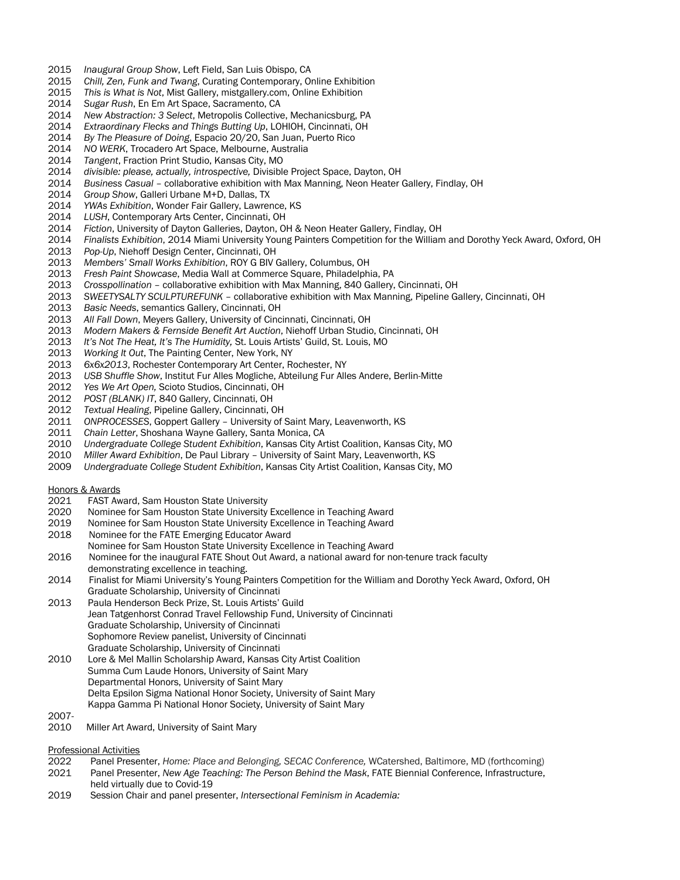- *Inaugural Group Show*, Left Field, San Luis Obispo, CA
- *Chill, Zen, Funk and Twang*, Curating Contemporary, Online Exhibition
- *This is What is Not*, Mist Gallery, mistgallery.com, Online Exhibition
- *Sugar Rush*, En Em Art Space, Sacramento, CA
- *New Abstraction: 3 Select*, Metropolis Collective, Mechanicsburg, PA
- *Extraordinary Flecks and Things Butting Up*, LOHIOH, Cincinnati, OH
- *By The Pleasure of Doing*, Espacio 20/20, San Juan, Puerto Rico
- *NO WERK*, Trocadero Art Space, Melbourne, Australia
- *Tangent*, Fraction Print Studio, Kansas City, MO
- *divisible: please, actually, introspective,* Divisible Project Space, Dayton, OH
- *Business Casual* collaborative exhibition with Max Manning, Neon Heater Gallery, Findlay, OH
- Group Show, Galleri Urbane M+D, Dallas, TX
- *YWAs Exhibition*, Wonder Fair Gallery, Lawrence, KS
- *LUSH*, Contemporary Arts Center, Cincinnati, OH
- *Fiction*, University of Dayton Galleries, Dayton, OH & Neon Heater Gallery, Findlay, OH
- *Finalists Exhibition*, 2014 Miami University Young Painters Competition for the William and Dorothy Yeck Award, Oxford, OH
- *Pop-Up*, Niehoff Design Center, Cincinnati, OH
- *Members' Small Works Exhibition*, ROY G BIV Gallery, Columbus, OH
- *Fresh Paint Showcase*, Media Wall at Commerce Square, Philadelphia, PA
- *Crosspollination* collaborative exhibition with Max Manning, 840 Gallery, Cincinnati, OH
- *SWEETYSALTY SCULPTUREFUNK* collaborative exhibition with Max Manning, Pipeline Gallery, Cincinnati, OH
- *Basic Needs*, semantics Gallery, Cincinnati, OH
- *All Fall Down*, Meyers Gallery, University of Cincinnati, Cincinnati, OH
- *Modern Makers & Fernside Benefit Art Auction*, Niehoff Urban Studio, Cincinnati, OH
- *It's Not The Heat, It's The Humidity,* St. Louis Artists' Guild, St. Louis, MO
- *Working It Out*, The Painting Center, New York, NY
- *6x6x2013*, Rochester Contemporary Art Center, Rochester, NY
- *USB Shuffle Show*, Institut Fur Alles Mogliche, Abteilung Fur Alles Andere, Berlin-Mitte
- *Yes We Art Open,* Scioto Studios, Cincinnati, OH
- *POST (BLANK) IT*, 840 Gallery, Cincinnati, OH
- *Textual Healing*, Pipeline Gallery, Cincinnati, OH
- *ONPROCESSES*, Goppert Gallery University of Saint Mary, Leavenworth, KS
- *Chain Letter*, Shoshana Wayne Gallery, Santa Monica, CA
- *Undergraduate College Student Exhibition*, Kansas City Artist Coalition, Kansas City, MO
- *Miller Award Exhibition*, De Paul Library University of Saint Mary, Leavenworth, KS
- *Undergraduate College Student Exhibition*, Kansas City Artist Coalition, Kansas City, MO

#### Honors & Awards

- FAST Award, Sam Houston State University
- Nominee for Sam Houston State University Excellence in Teaching Award
- Nominee for Sam Houston State University Excellence in Teaching Award
- 2018 Nominee for the FATE Emerging Educator Award
- Nominee for Sam Houston State University Excellence in Teaching Award
- 2016 Nominee for the inaugural FATE Shout Out Award, a national award for non-tenure track faculty demonstrating excellence in teaching.
- 2014 Finalist for Miami University's Young Painters Competition for the William and Dorothy Yeck Award, Oxford, OH Graduate Scholarship, University of Cincinnati
- Paula Henderson Beck Prize, St. Louis Artists' Guild Jean Tatgenhorst Conrad Travel Fellowship Fund, University of Cincinnati Graduate Scholarship, University of Cincinnati Sophomore Review panelist, University of Cincinnati Graduate Scholarship, University of Cincinnati
- Lore & Mel Mallin Scholarship Award, Kansas City Artist Coalition Summa Cum Laude Honors, University of Saint Mary Departmental Honors, University of Saint Mary Delta Epsilon Sigma National Honor Society, University of Saint Mary Kappa Gamma Pi National Honor Society, University of Saint Mary
- 2007-
- 2010 Miller Art Award, University of Saint Mary

#### Professional Activities

- Panel Presenter, *Home: Place and Belonging, SECAC Conference,* WCatershed, Baltimore, MD (forthcoming)
- Panel Presenter, *New Age Teaching: The Person Behind the Mask*, FATE Biennial Conference, Infrastructure, held virtually due to Covid-19
- Session Chair and panel presenter, *Intersectional Feminism in Academia:*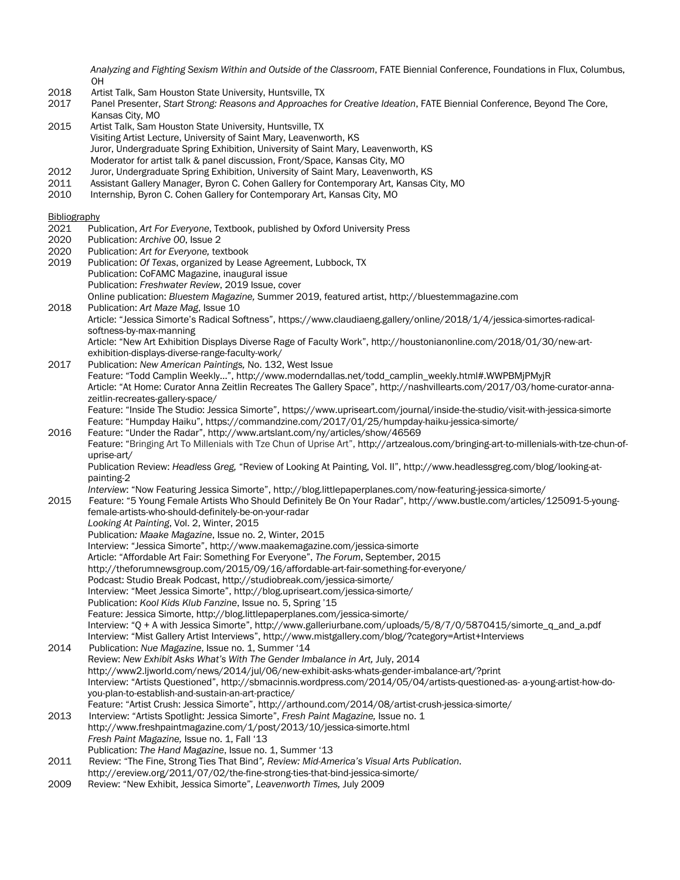*Analyzing and Fighting Sexism Within and Outside of the Classroom*, FATE Biennial Conference, Foundations in Flux, Columbus, OH

- 2018 Artist Talk, Sam Houston State University, Huntsville, TX<br>2017 Panel Presenter, Start Strong: Reasons and Approaches
- 2017 Panel Presenter, *Start Strong: Reasons and Approaches for Creative Ideation*, FATE Biennial Conference, Beyond The Core, Kansas City, MO
- 2015 Artist Talk, Sam Houston State University, Huntsville, TX Visiting Artist Lecture, University of Saint Mary, Leavenworth, KS Juror, Undergraduate Spring Exhibition, University of Saint Mary, Leavenworth, KS Moderator for artist talk & panel discussion, Front/Space, Kansas City, MO
- 2012 Juror, Undergraduate Spring Exhibition, University of Saint Mary, Leavenworth, KS
- 2011 Assistant Gallery Manager, Byron C. Cohen Gallery for Contemporary Art, Kansas City, MO<br>2010 Internship, Byron C. Cohen Gallery for Contemporary Art, Kansas City, MO
- Internship, Byron C. Cohen Gallery for Contemporary Art, Kansas City, MO

### Bibliography

- 2021 Publication, *Art For Everyone*, Textbook, published by Oxford University Press
- 2020 Publication: *Archive 00*, Issue 2
- 2020 Publication: *Art for Everyone,* textbook
- 2019 Publication: *Of Texas*, organized by Lease Agreement, Lubbock, TX Publication: CoFAMC Magazine, inaugural issue Publication: *Freshwater Review*, 2019 Issue, cover Online publication: *Bluestem Magazine,* Summer 2019, featured artist, http://bluestemmagazine.com
- 2018 Publication: *Art Maze Mag*, Issue 10 Article: "Jessica Simorte's Radical Softness", https://www.claudiaeng.gallery/online/2018/1/4/jessica-simortes-radicalsoftness-by-max-manning Article: "New Art Exhibition Displays Diverse Rage of Faculty Work", http://houstonianonline.com/2018/01/30/new-art-
- exhibition-displays-diverse-range-faculty-work/ 2017 Publication: *New American Paintings,* No. 132, West Issue Feature: "Todd Camplin Weekly…", http://www.moderndallas.net/todd\_camplin\_weekly.html#.WWPBMjPMyjR Article: "At Home: Curator Anna Zeitlin Recreates The Gallery Space", http://nashvillearts.com/2017/03/home-curator-annazeitlin-recreates-gallery-space/ Feature: "Inside The Studio: Jessica Simorte", https://www.upriseart.com/journal/inside-the-studio/visit-with-jessica-simorte
- Feature: "Humpday Haiku", https://commandzine.com/2017/01/25/humpday-haiku-jessica-simorte/<br>2016 Feature: "Under the Radar". http://www.artslant.com/ny/articles/show/46569 Feature: "Under the Radar", http://www.artslant.com/ny/articles/show/46569 Feature: "Bringing Art To Millenials with Tze Chun of Uprise Art", http://artzealous.com/bringing-art-to-millenials-with-tze-chun-ofuprise-art/ Publication Review: *Headless Greg,* "Review of Looking At Painting, Vol. II", http://www.headlessgreg.com/blog/looking-atpainting-2 *Interview*: "Now Featuring Jessica Simorte", http://blog.littlepaperplanes.com/now-featuring-jessica-simorte/
- 2015 Feature: "5 Young Female Artists Who Should Definitely Be On Your Radar", http://www.bustle.com/articles/125091-5-youngfemale-artists-who-should-definitely-be-on-your-radar *Looking At Painting*, Vol. 2, Winter, 2015
	- Publication*: Maake Magazine*, Issue no. 2, Winter, 2015 Interview: "Jessica Simorte", http://www.maakemagazine.com/jessica-simorte
		- Article: "Affordable Art Fair: Something For Everyone", *The Forum*, September, 2015
		- http://theforumnewsgroup.com/2015/09/16/affordable-art-fair-something-for-everyone/
		- Podcast: Studio Break Podcast, http://studiobreak.com/jessica-simorte/
		- Interview: "Meet Jessica Simorte", http://blog.upriseart.com/jessica-simorte/
		- Publication: *Kool Kids Klub Fanzine*, Issue no. 5, Spring '15
		- Feature: Jessica Simorte, http://blog.littlepaperplanes.com/jessica-simorte/

Interview: "Q + A with Jessica Simorte", http://www.galleriurbane.com/uploads/5/8/7/0/5870415/simorte\_q\_and\_a.pdf Interview: "Mist Gallery Artist Interviews", http://www.mistgallery.com/blog/?category=Artist+Interviews

- 2014 Publication: *Nue Magazine*, Issue no. 1, Summer '14 Review: *New Exhibit Asks What's With The Gender Imbalance in Art,* July, 2014 http://www2.ljworld.com/news/2014/jul/06/new-exhibit-asks-whats-gender-imbalance-art/?print Interview: "Artists Questioned", http://sbmacinnis.wordpress.com/2014/05/04/artists-questioned-as- a-young-artist-how-doyou-plan-to-establish-and-sustain-an-art-practice/ Feature: "Artist Crush: Jessica Simorte", http://arthound.com/2014/08/artist-crush-jessica-simorte/
- 2013 Interview: "Artists Spotlight: Jessica Simorte", *Fresh Paint Magazine,* Issue no. 1 http://www.freshpaintmagazine.com/1/post/2013/10/jessica-simorte.html *Fresh Paint Magazine,* Issue no. 1, Fall '13 Publication: *The Hand Magazine*, Issue no. 1, Summer '13
- 2011 Review: "The Fine, Strong Ties That Bind*", Review: Mid-America's Visual Arts Publication*.
- http://ereview.org/2011/07/02/the-fine-strong-ties-that-bind-jessica-simorte/ 2009 Review: "New Exhibit, Jessica Simorte", *Leavenworth Times,* July 2009